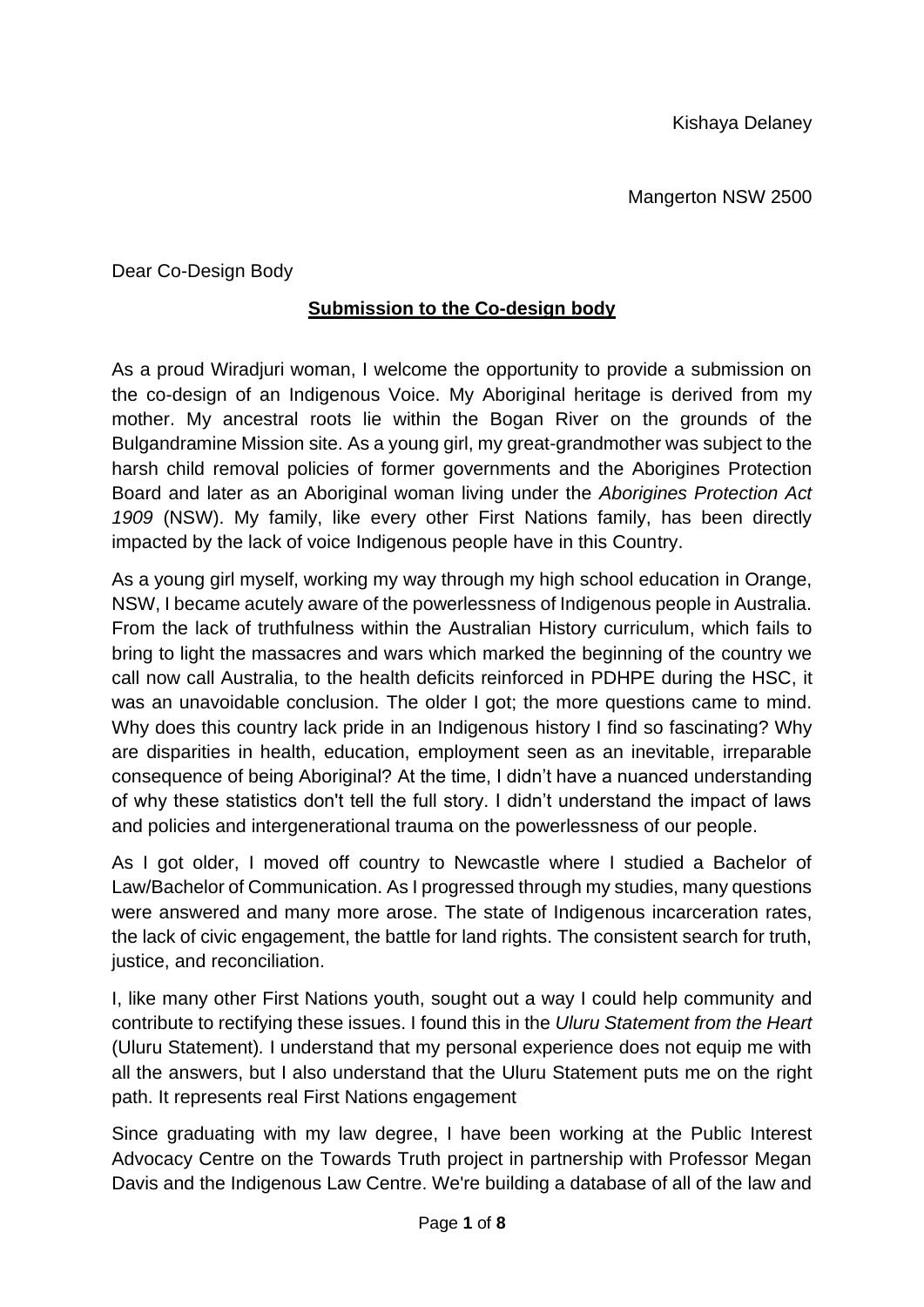Dear Co-Design Body

### **Submission to the Co-design body**

As a proud Wiradjuri woman, I welcome the opportunity to provide a submission on the co-design of an Indigenous Voice. My Aboriginal heritage is derived from my mother. My ancestral roots lie within the Bogan River on the grounds of the Bulgandramine Mission site. As a young girl, my great-grandmother was subject to the harsh child removal policies of former governments and the Aborigines Protection Board and later as an Aboriginal woman living under the *Aborigines Protection Act 1909* (NSW). My family, like every other First Nations family, has been directly impacted by the lack of voice Indigenous people have in this Country.

As a young girl myself, working my way through my high school education in Orange, NSW, I became acutely aware of the powerlessness of Indigenous people in Australia. From the lack of truthfulness within the Australian History curriculum, which fails to bring to light the massacres and wars which marked the beginning of the country we call now call Australia, to the health deficits reinforced in PDHPE during the HSC, it was an unavoidable conclusion. The older I got; the more questions came to mind. Why does this country lack pride in an Indigenous history I find so fascinating? Why are disparities in health, education, employment seen as an inevitable, irreparable consequence of being Aboriginal? At the time, I didn't have a nuanced understanding of why these statistics don't tell the full story. I didn't understand the impact of laws and policies and intergenerational trauma on the powerlessness of our people.

As I got older, I moved off country to Newcastle where I studied a Bachelor of Law/Bachelor of Communication. As I progressed through my studies, many questions were answered and many more arose. The state of Indigenous incarceration rates, the lack of civic engagement, the battle for land rights. The consistent search for truth, justice, and reconciliation.

I, like many other First Nations youth, sought out a way I could help community and contribute to rectifying these issues. I found this in the *Uluru Statement from the Heart* (Uluru Statement)*.* I understand that my personal experience does not equip me with all the answers, but I also understand that the Uluru Statement puts me on the right path. It represents real First Nations engagement

Since graduating with my law degree, I have been working at the Public Interest Advocacy Centre on the Towards Truth project in partnership with Professor Megan Davis and the Indigenous Law Centre. We're building a database of all of the law and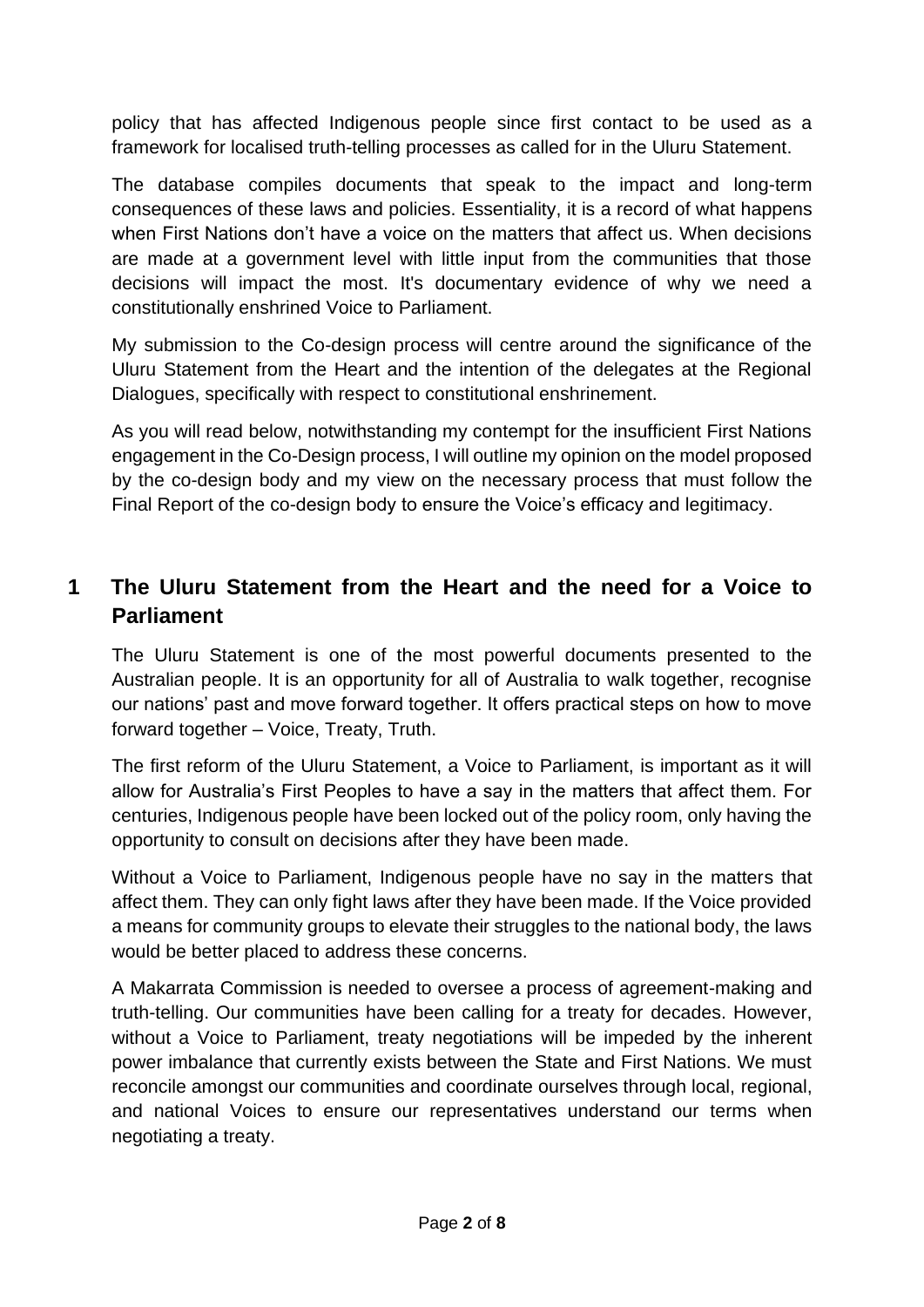policy that has affected Indigenous people since first contact to be used as a framework for localised truth-telling processes as called for in the Uluru Statement.

The database compiles documents that speak to the impact and long-term consequences of these laws and policies. Essentiality, it is a record of what happens when First Nations don't have a voice on the matters that affect us. When decisions are made at a government level with little input from the communities that those decisions will impact the most. It's documentary evidence of why we need a constitutionally enshrined Voice to Parliament.

My submission to the Co-design process will centre around the significance of the Uluru Statement from the Heart and the intention of the delegates at the Regional Dialogues, specifically with respect to constitutional enshrinement.

As you will read below, notwithstanding my contempt for the insufficient First Nations engagement in the Co-Design process, I will outline my opinion on the model proposed by the co-design body and my view on the necessary process that must follow the Final Report of the co-design body to ensure the Voice's efficacy and legitimacy.

# **1 The Uluru Statement from the Heart and the need for a Voice to Parliament**

The Uluru Statement is one of the most powerful documents presented to the Australian people. It is an opportunity for all of Australia to walk together, recognise our nations' past and move forward together. It offers practical steps on how to move forward together – Voice, Treaty, Truth.

The first reform of the Uluru Statement, a Voice to Parliament, is important as it will allow for Australia's First Peoples to have a say in the matters that affect them. For centuries, Indigenous people have been locked out of the policy room, only having the opportunity to consult on decisions after they have been made.

Without a Voice to Parliament, Indigenous people have no say in the matters that affect them. They can only fight laws after they have been made. If the Voice provided a means for community groups to elevate their struggles to the national body, the laws would be better placed to address these concerns.

A Makarrata Commission is needed to oversee a process of agreement-making and truth-telling. Our communities have been calling for a treaty for decades. However, without a Voice to Parliament, treaty negotiations will be impeded by the inherent power imbalance that currently exists between the State and First Nations. We must reconcile amongst our communities and coordinate ourselves through local, regional, and national Voices to ensure our representatives understand our terms when negotiating a treaty.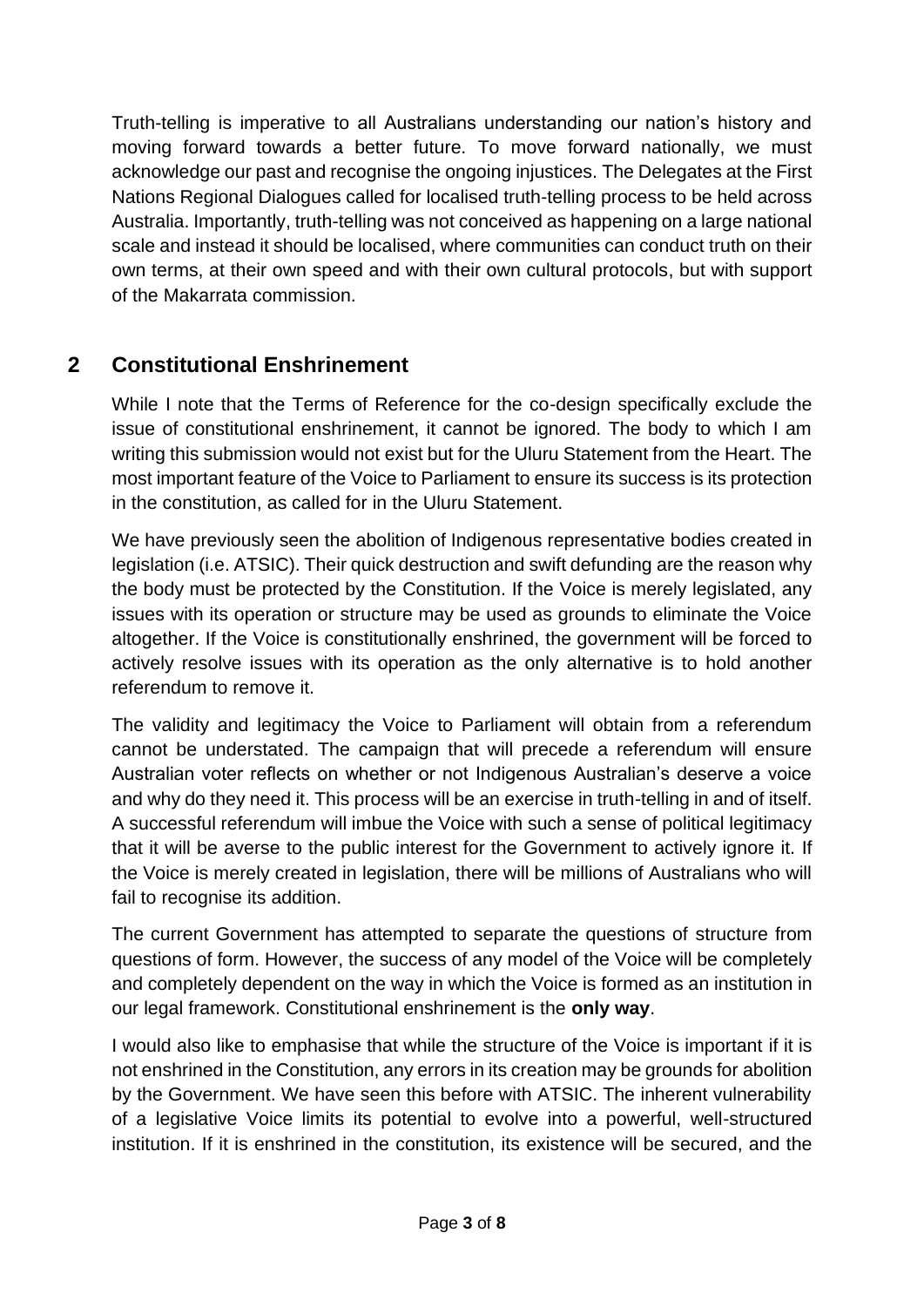Truth-telling is imperative to all Australians understanding our nation's history and moving forward towards a better future. To move forward nationally, we must acknowledge our past and recognise the ongoing injustices. The Delegates at the First Nations Regional Dialogues called for localised truth-telling process to be held across Australia. Importantly, truth-telling was not conceived as happening on a large national scale and instead it should be localised, where communities can conduct truth on their own terms, at their own speed and with their own cultural protocols, but with support of the Makarrata commission.

# **2 Constitutional Enshrinement**

While I note that the Terms of Reference for the co-design specifically exclude the issue of constitutional enshrinement, it cannot be ignored. The body to which I am writing this submission would not exist but for the Uluru Statement from the Heart. The most important feature of the Voice to Parliament to ensure its success is its protection in the constitution, as called for in the Uluru Statement.

We have previously seen the abolition of Indigenous representative bodies created in legislation (i.e. ATSIC). Their quick destruction and swift defunding are the reason why the body must be protected by the Constitution. If the Voice is merely legislated, any issues with its operation or structure may be used as grounds to eliminate the Voice altogether. If the Voice is constitutionally enshrined, the government will be forced to actively resolve issues with its operation as the only alternative is to hold another referendum to remove it.

The validity and legitimacy the Voice to Parliament will obtain from a referendum cannot be understated. The campaign that will precede a referendum will ensure Australian voter reflects on whether or not Indigenous Australian's deserve a voice and why do they need it. This process will be an exercise in truth-telling in and of itself. A successful referendum will imbue the Voice with such a sense of political legitimacy that it will be averse to the public interest for the Government to actively ignore it. If the Voice is merely created in legislation, there will be millions of Australians who will fail to recognise its addition.

The current Government has attempted to separate the questions of structure from questions of form. However, the success of any model of the Voice will be completely and completely dependent on the way in which the Voice is formed as an institution in our legal framework. Constitutional enshrinement is the **only way**.

I would also like to emphasise that while the structure of the Voice is important if it is not enshrined in the Constitution, any errors in its creation may be grounds for abolition by the Government. We have seen this before with ATSIC. The inherent vulnerability of a legislative Voice limits its potential to evolve into a powerful, well-structured institution. If it is enshrined in the constitution, its existence will be secured, and the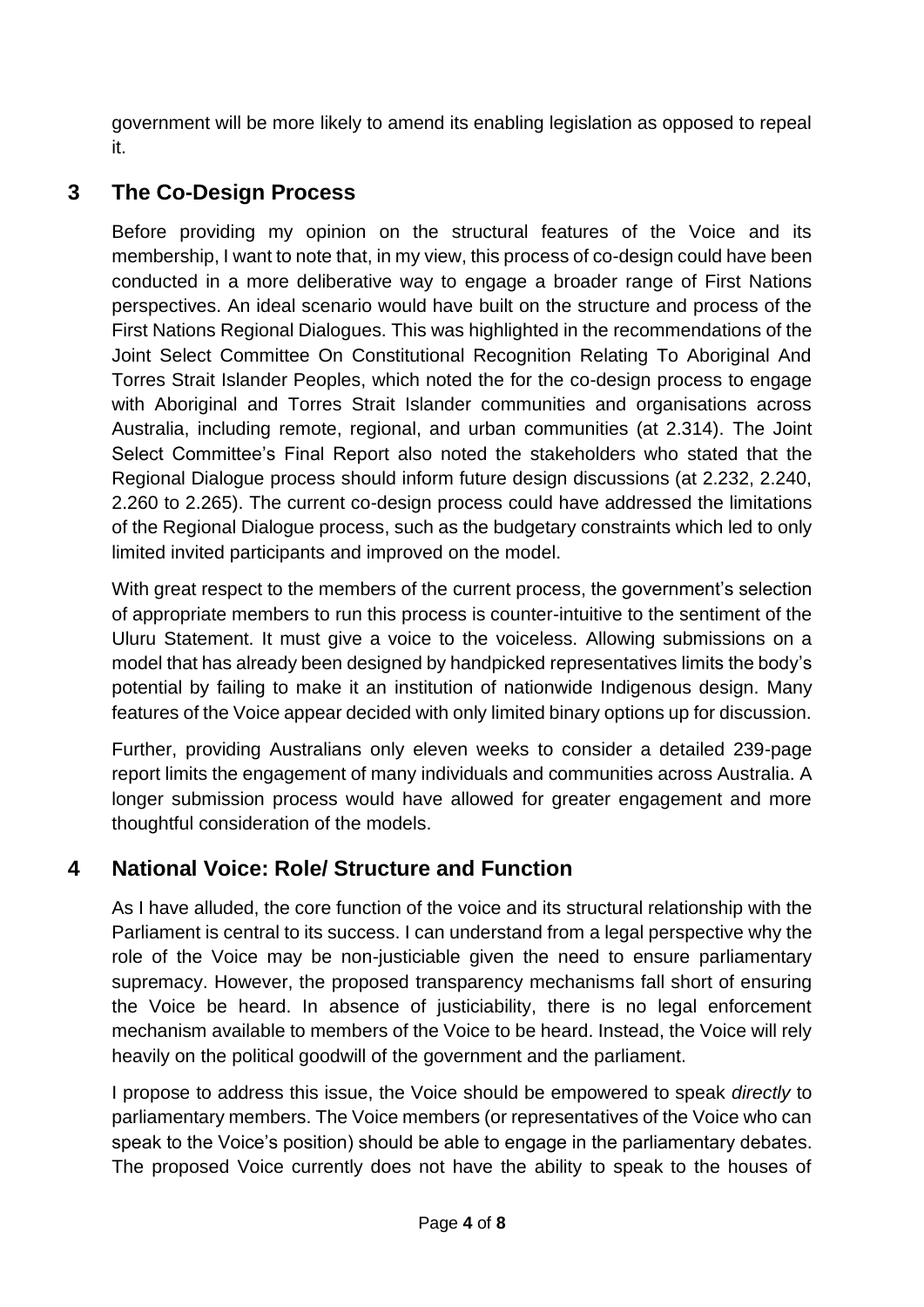government will be more likely to amend its enabling legislation as opposed to repeal it.

## **3 The Co-Design Process**

Before providing my opinion on the structural features of the Voice and its membership, I want to note that, in my view, this process of co-design could have been conducted in a more deliberative way to engage a broader range of First Nations perspectives. An ideal scenario would have built on the structure and process of the First Nations Regional Dialogues. This was highlighted in the recommendations of the Joint Select Committee On Constitutional Recognition Relating To Aboriginal And Torres Strait Islander Peoples, which noted the for the co-design process to engage with Aboriginal and Torres Strait Islander communities and organisations across Australia, including remote, regional, and urban communities (at 2.314). The Joint Select Committee's Final Report also noted the stakeholders who stated that the Regional Dialogue process should inform future design discussions (at 2.232, 2.240, 2.260 to 2.265). The current co-design process could have addressed the limitations of the Regional Dialogue process, such as the budgetary constraints which led to only limited invited participants and improved on the model.

With great respect to the members of the current process, the government's selection of appropriate members to run this process is counter-intuitive to the sentiment of the Uluru Statement. It must give a voice to the voiceless. Allowing submissions on a model that has already been designed by handpicked representatives limits the body's potential by failing to make it an institution of nationwide Indigenous design. Many features of the Voice appear decided with only limited binary options up for discussion.

Further, providing Australians only eleven weeks to consider a detailed 239-page report limits the engagement of many individuals and communities across Australia. A longer submission process would have allowed for greater engagement and more thoughtful consideration of the models.

# **4 National Voice: Role/ Structure and Function**

As I have alluded, the core function of the voice and its structural relationship with the Parliament is central to its success. I can understand from a legal perspective why the role of the Voice may be non-justiciable given the need to ensure parliamentary supremacy. However, the proposed transparency mechanisms fall short of ensuring the Voice be heard. In absence of justiciability, there is no legal enforcement mechanism available to members of the Voice to be heard. Instead, the Voice will rely heavily on the political goodwill of the government and the parliament.

I propose to address this issue, the Voice should be empowered to speak *directly* to parliamentary members. The Voice members (or representatives of the Voice who can speak to the Voice's position) should be able to engage in the parliamentary debates. The proposed Voice currently does not have the ability to speak to the houses of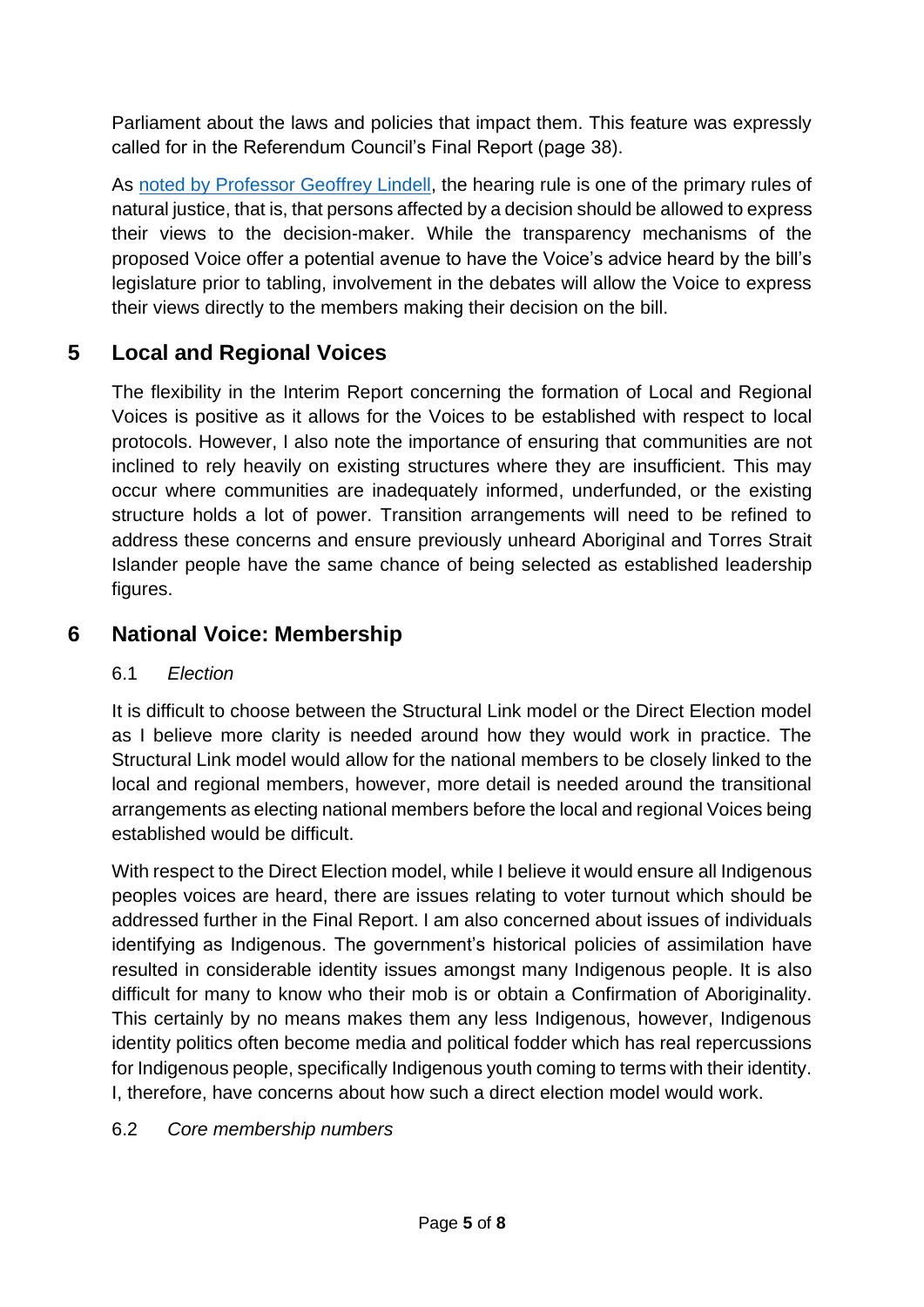Parliament about the laws and policies that impact them. This feature was expressly called for in the Referendum Council's Final Report (page 38).

As [noted by Professor Geoffrey Lindell,](https://www.indigconlaw.org/geoffrey-lindell-the-relationship-between-parliament-and-the-voice-and-the-importance-of-enshrinement) the hearing rule is one of the primary rules of natural justice, that is, that persons affected by a decision should be allowed to express their views to the decision-maker. While the transparency mechanisms of the proposed Voice offer a potential avenue to have the Voice's advice heard by the bill's legislature prior to tabling, involvement in the debates will allow the Voice to express their views directly to the members making their decision on the bill.

## **5 Local and Regional Voices**

The flexibility in the Interim Report concerning the formation of Local and Regional Voices is positive as it allows for the Voices to be established with respect to local protocols. However, I also note the importance of ensuring that communities are not inclined to rely heavily on existing structures where they are insufficient. This may occur where communities are inadequately informed, underfunded, or the existing structure holds a lot of power. Transition arrangements will need to be refined to address these concerns and ensure previously unheard Aboriginal and Torres Strait Islander people have the same chance of being selected as established leadership figures.

## **6 National Voice: Membership**

#### 6.1 *Election*

It is difficult to choose between the Structural Link model or the Direct Election model as I believe more clarity is needed around how they would work in practice. The Structural Link model would allow for the national members to be closely linked to the local and regional members, however, more detail is needed around the transitional arrangements as electing national members before the local and regional Voices being established would be difficult.

With respect to the Direct Election model, while I believe it would ensure all Indigenous peoples voices are heard, there are issues relating to voter turnout which should be addressed further in the Final Report. I am also concerned about issues of individuals identifying as Indigenous. The government's historical policies of assimilation have resulted in considerable identity issues amongst many Indigenous people. It is also difficult for many to know who their mob is or obtain a Confirmation of Aboriginality. This certainly by no means makes them any less Indigenous, however, Indigenous identity politics often become media and political fodder which has real repercussions for Indigenous people, specifically Indigenous youth coming to terms with their identity. I, therefore, have concerns about how such a direct election model would work.

#### 6.2 *Core membership numbers*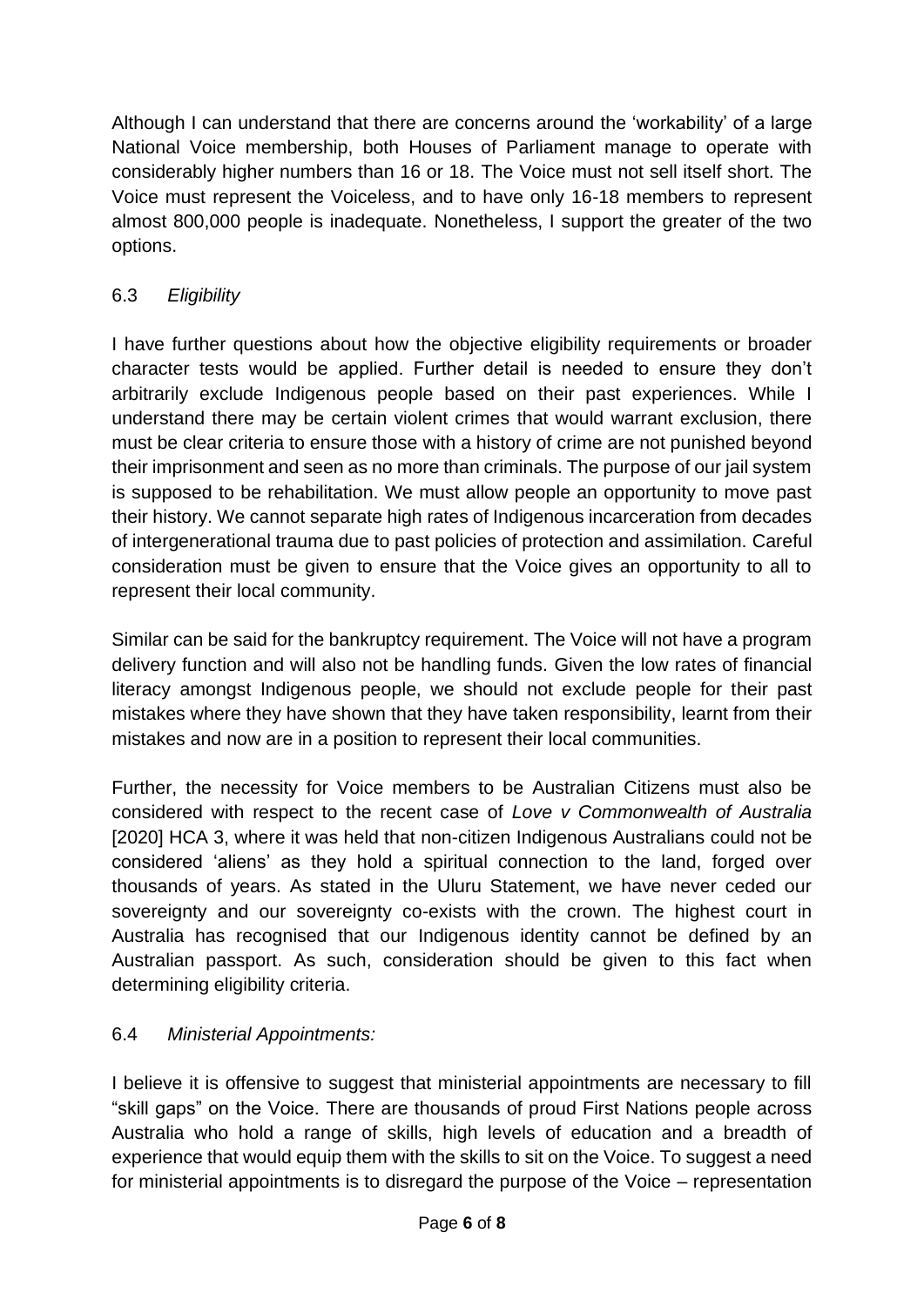Although I can understand that there are concerns around the 'workability' of a large National Voice membership, both Houses of Parliament manage to operate with considerably higher numbers than 16 or 18. The Voice must not sell itself short. The Voice must represent the Voiceless, and to have only 16-18 members to represent almost 800,000 people is inadequate. Nonetheless, I support the greater of the two options.

## 6.3 *Eligibility*

I have further questions about how the objective eligibility requirements or broader character tests would be applied. Further detail is needed to ensure they don't arbitrarily exclude Indigenous people based on their past experiences. While I understand there may be certain violent crimes that would warrant exclusion, there must be clear criteria to ensure those with a history of crime are not punished beyond their imprisonment and seen as no more than criminals. The purpose of our jail system is supposed to be rehabilitation. We must allow people an opportunity to move past their history. We cannot separate high rates of Indigenous incarceration from decades of intergenerational trauma due to past policies of protection and assimilation. Careful consideration must be given to ensure that the Voice gives an opportunity to all to represent their local community.

Similar can be said for the bankruptcy requirement. The Voice will not have a program delivery function and will also not be handling funds. Given the low rates of financial literacy amongst Indigenous people, we should not exclude people for their past mistakes where they have shown that they have taken responsibility, learnt from their mistakes and now are in a position to represent their local communities.

Further, the necessity for Voice members to be Australian Citizens must also be considered with respect to the recent case of *Love v Commonwealth of Australia*  [2020] HCA 3, where it was held that non-citizen Indigenous Australians could not be considered 'aliens' as they hold a spiritual connection to the land, forged over thousands of years. As stated in the Uluru Statement, we have never ceded our sovereignty and our sovereignty co-exists with the crown. The highest court in Australia has recognised that our Indigenous identity cannot be defined by an Australian passport. As such, consideration should be given to this fact when determining eligibility criteria.

### 6.4 *Ministerial Appointments:*

I believe it is offensive to suggest that ministerial appointments are necessary to fill "skill gaps" on the Voice. There are thousands of proud First Nations people across Australia who hold a range of skills, high levels of education and a breadth of experience that would equip them with the skills to sit on the Voice. To suggest a need for ministerial appointments is to disregard the purpose of the Voice – representation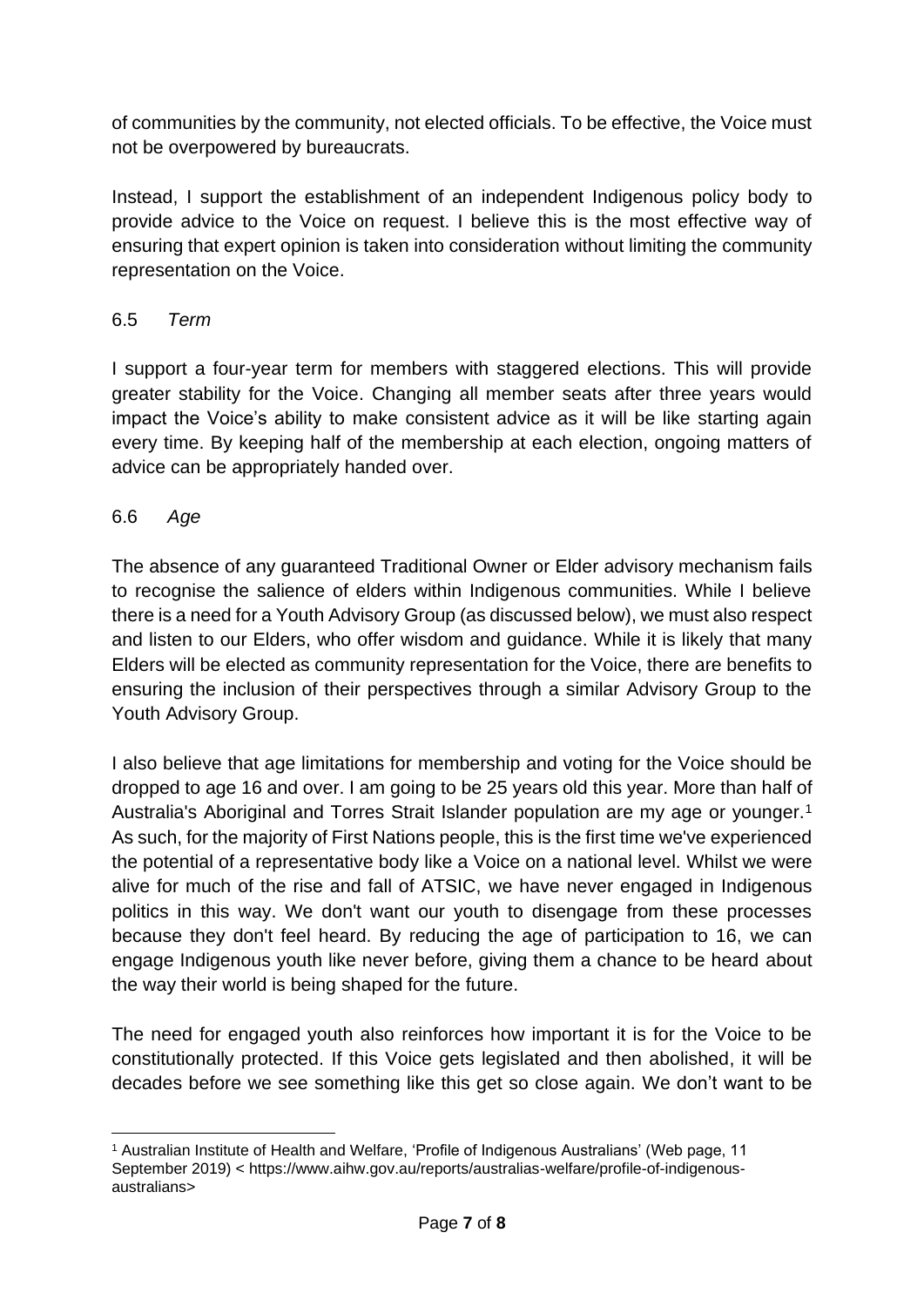of communities by the community, not elected officials. To be effective, the Voice must not be overpowered by bureaucrats.

Instead, I support the establishment of an independent Indigenous policy body to provide advice to the Voice on request. I believe this is the most effective way of ensuring that expert opinion is taken into consideration without limiting the community representation on the Voice.

#### 6.5 *Term*

I support a four-year term for members with staggered elections. This will provide greater stability for the Voice. Changing all member seats after three years would impact the Voice's ability to make consistent advice as it will be like starting again every time. By keeping half of the membership at each election, ongoing matters of advice can be appropriately handed over.

### 6.6 *Age*

The absence of any guaranteed Traditional Owner or Elder advisory mechanism fails to recognise the salience of elders within Indigenous communities. While I believe there is a need for a Youth Advisory Group (as discussed below), we must also respect and listen to our Elders, who offer wisdom and guidance. While it is likely that many Elders will be elected as community representation for the Voice, there are benefits to ensuring the inclusion of their perspectives through a similar Advisory Group to the Youth Advisory Group.

I also believe that age limitations for membership and voting for the Voice should be dropped to age 16 and over. I am going to be 25 years old this year. More than half of Australia's Aboriginal and Torres Strait Islander population are my age or younger.<sup>1</sup> As such, for the majority of First Nations people, this is the first time we've experienced the potential of a representative body like a Voice on a national level. Whilst we were alive for much of the rise and fall of ATSIC, we have never engaged in Indigenous politics in this way. We don't want our youth to disengage from these processes because they don't feel heard. By reducing the age of participation to 16, we can engage Indigenous youth like never before, giving them a chance to be heard about the way their world is being shaped for the future.

The need for engaged youth also reinforces how important it is for the Voice to be constitutionally protected. If this Voice gets legislated and then abolished, it will be decades before we see something like this get so close again. We don't want to be

<sup>1</sup> Australian Institute of Health and Welfare, 'Profile of Indigenous Australians' (Web page, 11 September 2019) < https://www.aihw.gov.au/reports/australias-welfare/profile-of-indigenousaustralians>